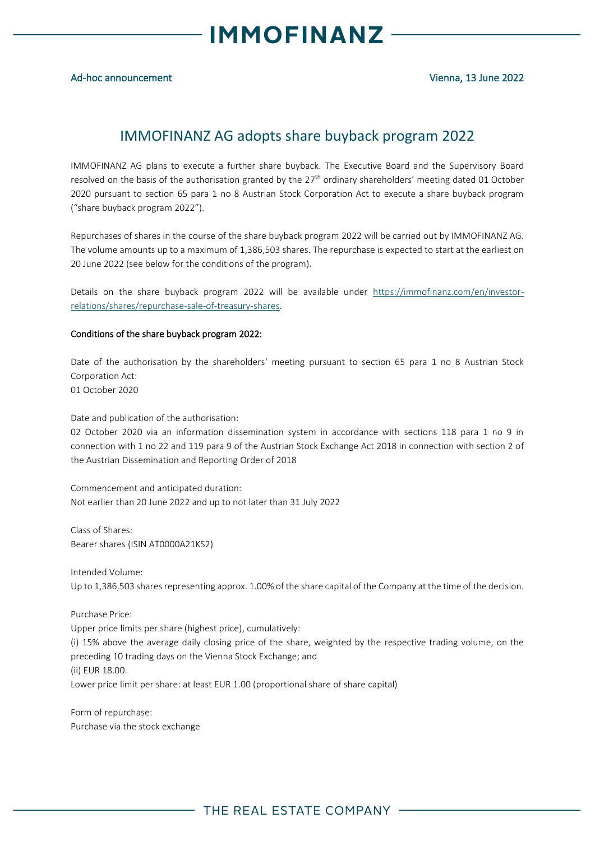

### Ad-hoc announcement Vienna, 13 June 2022

## IMMOFINANZ AG adopts share buyback program 2022

IMMOFINANZ AG plans to execute a further share buyback. The Executive Board and the Supervisory Board resolved on the basis of the authorisation granted by the 27<sup>th</sup> ordinary shareholders' meeting dated 01 October 2020 pursuant to section 65 para 1 no 8 Austrian Stock Corporation Act to execute a share buyback program ("share buyback program 2022").

Repurchases of shares in the course of the share buyback program 2022 will be carried out by IMMOFINANZ AG. The volume amounts up to a maximum of 1,386,503 shares. The repurchase is expected to start at the earliest on 20 June 2022 (see below for the conditions of the program).

Details on the share buyback program 2022 will be available under [https://immofinanz.com/en/investor](https://immofinanz.com/en/investor-relations/shares/repurchase-sale-of-treasury-shares)[relations/shares/repurchase-sale-of-treasury-shares.](https://immofinanz.com/en/investor-relations/shares/repurchase-sale-of-treasury-shares)

#### Conditions of the share buyback program 2022:

Date of the authorisation by the shareholders' meeting pursuant to section 65 para 1 no 8 Austrian Stock Corporation Act: 01 October 2020

Date and publication of the authorisation:

02 October 2020 via an information dissemination system in accordance with sections 118 para 1 no 9 in connection with 1 no 22 and 119 para 9 of the Austrian Stock Exchange Act 2018 in connection with section 2 of the Austrian Dissemination and Reporting Order of 2018

Commencement and anticipated duration: Not earlier than 20 June 2022 and up to not later than 31 July 2022

Class of Shares: Bearer shares (ISIN AT0000A21KS2)

Intended Volume: Up to 1,386,503 shares representing approx. 1.00% of the share capital of the Company at the time of the decision.

Purchase Price: Upper price limits per share (highest price), cumulatively: (i) 15% above the average daily closing price of the share, weighted by the respective trading volume, on the preceding 10 trading days on the Vienna Stock Exchange; and (ii) EUR 18.00. Lower price limit per share: at least EUR 1.00 (proportional share of share capital)

Form of repurchase: Purchase via the stock exchange